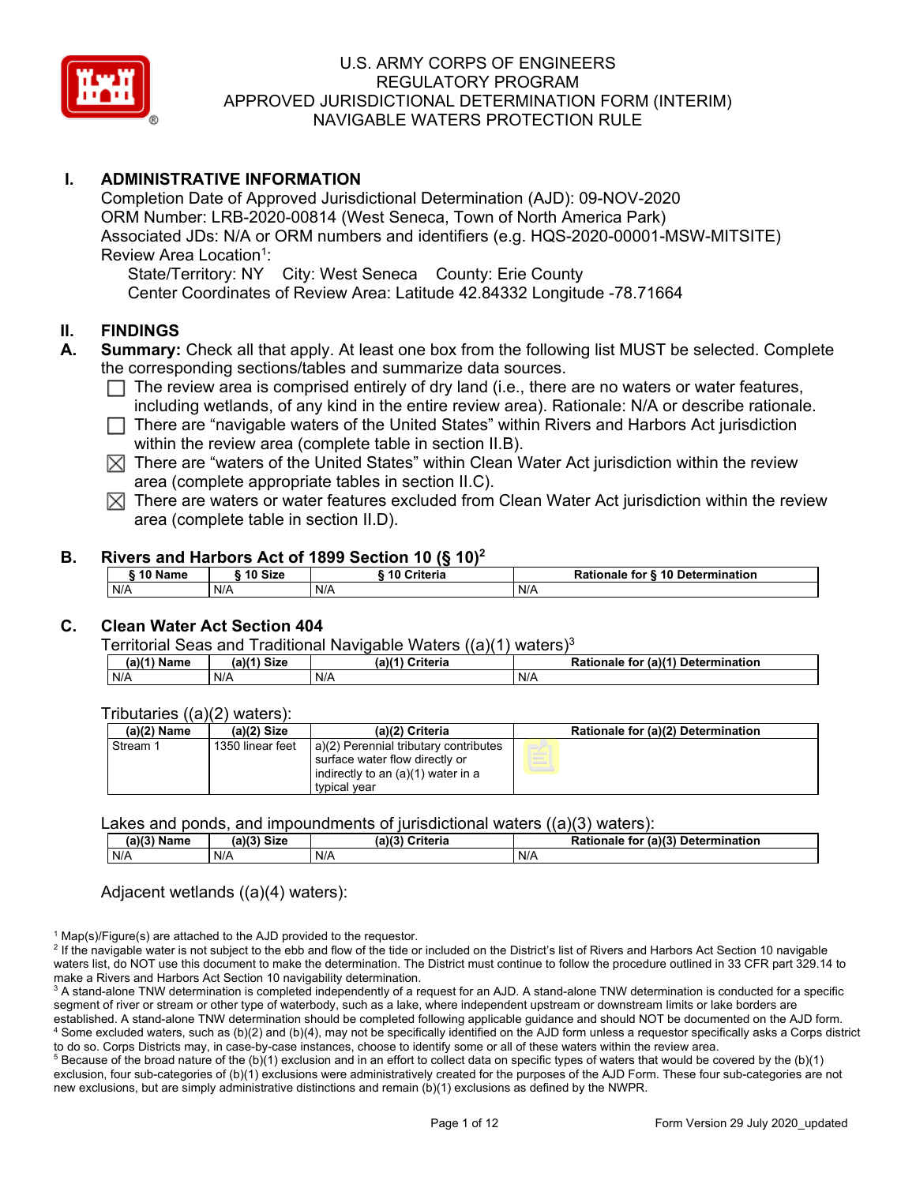

## **I. ADMINISTRATIVE INFORMATION**

Completion Date of Approved Jurisdictional Determination (AJD): 09-NOV-2020 ORM Number: LRB-2020-00814 (West Seneca, Town of North America Park) Associated JDs: N/A or ORM numbers and identifiers (e.g. HQS-2020-00001-MSW-MITSITE) Review Area Location<sup>1</sup>:

State/Territory: NY City: West Seneca County: Erie County Center Coordinates of Review Area: Latitude 42.84332 Longitude -78.71664

#### **II. FINDINGS**

- **A. Summary:** Check all that apply. At least one box from the following list MUST be selected. Complete the corresponding sections/tables and summarize data sources.
	- $\Box$  The review area is comprised entirely of dry land (i.e., there are no waters or water features, including wetlands, of any kind in the entire review area). Rationale: N/A or describe rationale.
	- $\Box$  There are "navigable waters of the United States" within Rivers and Harbors Act jurisdiction within the review area (complete table in section II.B).
	- $\boxtimes$  There are "waters of the United States" within Clean Water Act jurisdiction within the review area (complete appropriate tables in section II.C).
	- $\boxtimes$  There are waters or water features excluded from Clean Water Act jurisdiction within the review area (complete table in section II.D).

#### **B. Rivers and Harbors Act of 1899 Section 10 (§ 10)<sup>2</sup>**

|     |         |     |         | $1.01$ and the compact of the contract of $\{3, 10\}$ |     |                                  |
|-----|---------|-----|---------|-------------------------------------------------------|-----|----------------------------------|
|     | 10 Name |     | 10 Size | 10 Criteria                                           |     | Rationale for § 10 Determination |
| N/A |         | N/A |         | N/A                                                   | N/A |                                  |

## **C. Clean Water Act Section 404**

#### Territorial Seas and Traditional Navigable Waters ((a)(1) waters)3

| (a)(1) Name | $(a)$ $(1)$<br><b>Size</b> | (a)(4)<br><b>Criteria</b> | Rationale<br>$\mathcal{L}$ (a)(1)<br>Determination<br>tor |
|-------------|----------------------------|---------------------------|-----------------------------------------------------------|
| N/A         | N/A                        | N/A                       | N/A                                                       |

#### Tributaries ((a)(2) waters):

| $(a)(2)$ Name | $(a)(2)$ Size    | (a)(2) Criteria                       | Rationale for (a)(2) Determination |
|---------------|------------------|---------------------------------------|------------------------------------|
| Stream 1      | 1350 linear feet | a)(2) Perennial tributary contributes |                                    |
|               |                  | surface water flow directly or        |                                    |
|               |                  | indirectly to an $(a)(1)$ water in a  |                                    |
|               |                  | typical year                          |                                    |

#### Lakes and ponds, and impoundments of jurisdictional waters ((a)(3) waters):

| --------<br>--------<br>----------- |             |                 | .                                  |
|-------------------------------------|-------------|-----------------|------------------------------------|
| (a)(3) Name                         | (a)(3) Size | (a)(3) Criteria | Rationale for (a)(3) Determination |
| N/A                                 | N/A         | N/A             | N/A                                |

#### Adjacent wetlands ((a)(4) waters):

 $1$  Map(s)/Figure(s) are attached to the AJD provided to the requestor.

<sup>2</sup> If the navigable water is not subject to the ebb and flow of the tide or included on the District's list of Rivers and Harbors Act Section 10 navigable waters list, do NOT use this document to make the determination. The District must continue to follow the procedure outlined in 33 CFR part 329.14 to make a Rivers and Harbors Act Section 10 navigability determination.

<sup>3</sup> A stand-alone TNW determination is completed independently of a request for an AJD. A stand-alone TNW determination is conducted for a specific segment of river or stream or other type of waterbody, such as a lake, where independent upstream or downstream limits or lake borders are established. A stand-alone TNW determination should be completed following applicable guidance and should NOT be documented on the AJD form. <sup>4</sup> Some excluded waters, such as (b)(2) and (b)(4), may not be specifically identified on the AJD form unless a requestor specifically asks a Corps district to do so. Corps Districts may, in case-by-case instances, choose to identify some or all of these waters within the review area.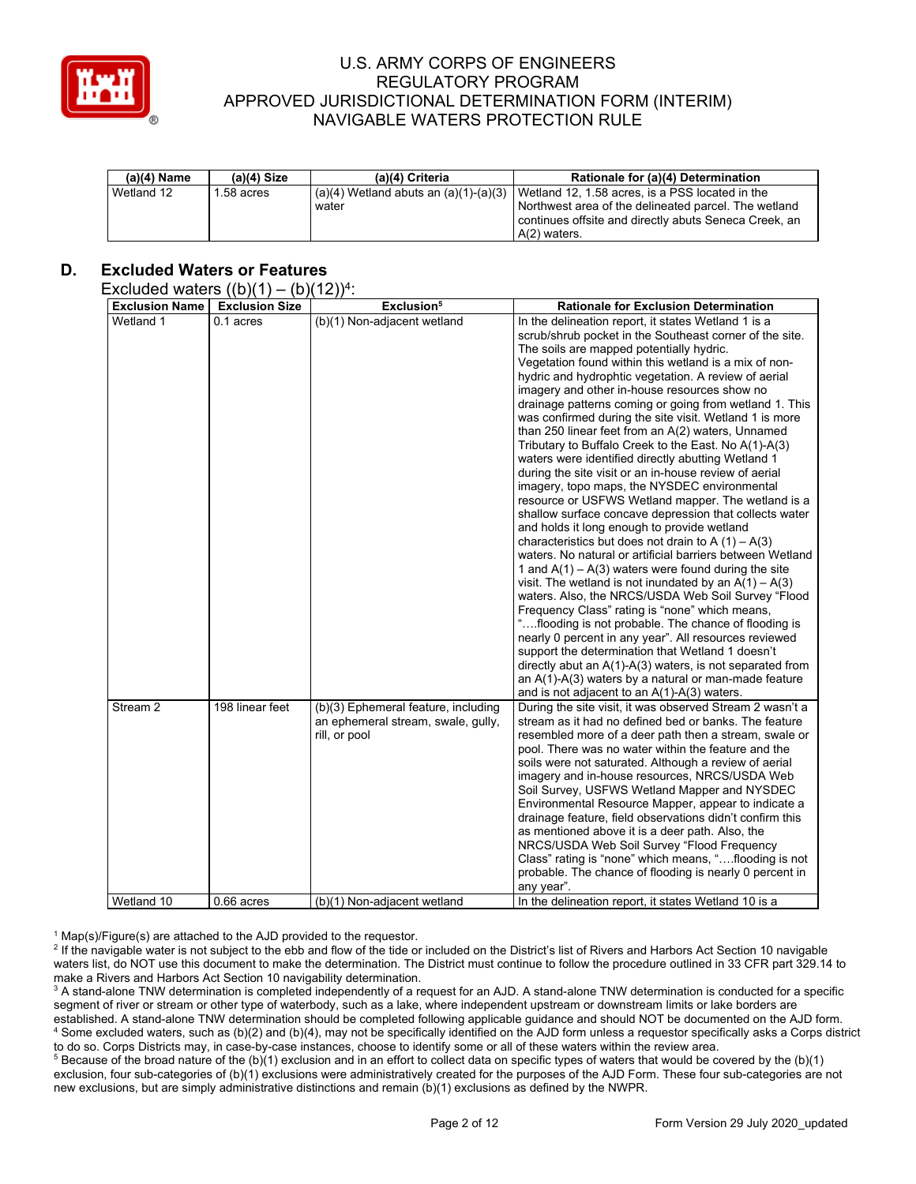

| $(a)(4)$ Name | $(a)(4)$ Size | (a)(4) Criteria                           | Rationale for (a)(4) Determination                    |
|---------------|---------------|-------------------------------------------|-------------------------------------------------------|
| Wetland 12    | .58 acres     | $(a)(4)$ Wetland abuts an $(a)(1)-(a)(3)$ | Wetland 12, 1.58 acres, is a PSS located in the       |
|               |               | water                                     | Northwest area of the delineated parcel. The wetland  |
|               |               |                                           | continues offsite and directly abuts Seneca Creek, an |
|               |               |                                           | A(2) waters.                                          |

# **D. Excluded Waters or Features**

#### Excluded waters  $((b)(1) - (b)(12))^4$ :

| $\sim$                             |                                    | (2)                                                                                        |                                                                                                                                                                                                                                                                                                                                                                                                                                                                                                                                                                                                                                                                                                                                                                                                                                                                                                                                                                                                                                                                                                                                                                                                                                                                                                                                                                                                                                                                                                                                                                                              |
|------------------------------------|------------------------------------|--------------------------------------------------------------------------------------------|----------------------------------------------------------------------------------------------------------------------------------------------------------------------------------------------------------------------------------------------------------------------------------------------------------------------------------------------------------------------------------------------------------------------------------------------------------------------------------------------------------------------------------------------------------------------------------------------------------------------------------------------------------------------------------------------------------------------------------------------------------------------------------------------------------------------------------------------------------------------------------------------------------------------------------------------------------------------------------------------------------------------------------------------------------------------------------------------------------------------------------------------------------------------------------------------------------------------------------------------------------------------------------------------------------------------------------------------------------------------------------------------------------------------------------------------------------------------------------------------------------------------------------------------------------------------------------------------|
| <b>Exclusion Name</b><br>Wetland 1 | <b>Exclusion Size</b><br>0.1 acres | Exclusion <sup>5</sup><br>(b)(1) Non-adjacent wetland                                      | <b>Rationale for Exclusion Determination</b><br>In the delineation report, it states Wetland 1 is a<br>scrub/shrub pocket in the Southeast corner of the site.<br>The soils are mapped potentially hydric.<br>Vegetation found within this wetland is a mix of non-<br>hydric and hydrophtic vegetation. A review of aerial<br>imagery and other in-house resources show no<br>drainage patterns coming or going from wetland 1. This<br>was confirmed during the site visit. Wetland 1 is more<br>than 250 linear feet from an A(2) waters, Unnamed<br>Tributary to Buffalo Creek to the East. No A(1)-A(3)<br>waters were identified directly abutting Wetland 1<br>during the site visit or an in-house review of aerial<br>imagery, topo maps, the NYSDEC environmental<br>resource or USFWS Wetland mapper. The wetland is a<br>shallow surface concave depression that collects water<br>and holds it long enough to provide wetland<br>characteristics but does not drain to A $(1) - A(3)$<br>waters. No natural or artificial barriers between Wetland<br>1 and $A(1) - A(3)$ waters were found during the site<br>visit. The wetland is not inundated by an $A(1) - A(3)$<br>waters. Also, the NRCS/USDA Web Soil Survey "Flood<br>Frequency Class" rating is "none" which means,<br>"flooding is not probable. The chance of flooding is<br>nearly 0 percent in any year". All resources reviewed<br>support the determination that Wetland 1 doesn't<br>directly abut an $A(1)-A(3)$ waters, is not separated from<br>an $A(1)$ - $A(3)$ waters by a natural or man-made feature |
| Stream 2                           | 198 linear feet                    | (b)(3) Ephemeral feature, including<br>an ephemeral stream, swale, gully,<br>rill, or pool | and is not adjacent to an A(1)-A(3) waters.<br>During the site visit, it was observed Stream 2 wasn't a<br>stream as it had no defined bed or banks. The feature<br>resembled more of a deer path then a stream, swale or<br>pool. There was no water within the feature and the<br>soils were not saturated. Although a review of aerial<br>imagery and in-house resources, NRCS/USDA Web<br>Soil Survey, USFWS Wetland Mapper and NYSDEC<br>Environmental Resource Mapper, appear to indicate a<br>drainage feature, field observations didn't confirm this<br>as mentioned above it is a deer path. Also, the<br>NRCS/USDA Web Soil Survey "Flood Frequency<br>Class" rating is "none" which means, "flooding is not<br>probable. The chance of flooding is nearly 0 percent in<br>any year".                                                                                                                                                                                                                                                                                                                                                                                                                                                                                                                                                                                                                                                                                                                                                                                             |
| Wetland 10                         | $0.66$ acres                       | (b)(1) Non-adjacent wetland                                                                | In the delineation report, it states Wetland 10 is a                                                                                                                                                                                                                                                                                                                                                                                                                                                                                                                                                                                                                                                                                                                                                                                                                                                                                                                                                                                                                                                                                                                                                                                                                                                                                                                                                                                                                                                                                                                                         |

 $1$  Map(s)/Figure(s) are attached to the AJD provided to the requestor.

<sup>2</sup> If the navigable water is not subject to the ebb and flow of the tide or included on the District's list of Rivers and Harbors Act Section 10 navigable waters list, do NOT use this document to make the determination. The District must continue to follow the procedure outlined in 33 CFR part 329.14 to make a Rivers and Harbors Act Section 10 navigability determination.

<sup>3</sup> A stand-alone TNW determination is completed independently of a request for an AJD. A stand-alone TNW determination is conducted for a specific segment of river or stream or other type of waterbody, such as a lake, where independent upstream or downstream limits or lake borders are established. A stand-alone TNW determination should be completed following applicable guidance and should NOT be documented on the AJD form. <sup>4</sup> Some excluded waters, such as (b)(2) and (b)(4), may not be specifically identified on the AJD form unless a requestor specifically asks a Corps district to do so. Corps Districts may, in case-by-case instances, choose to identify some or all of these waters within the review area.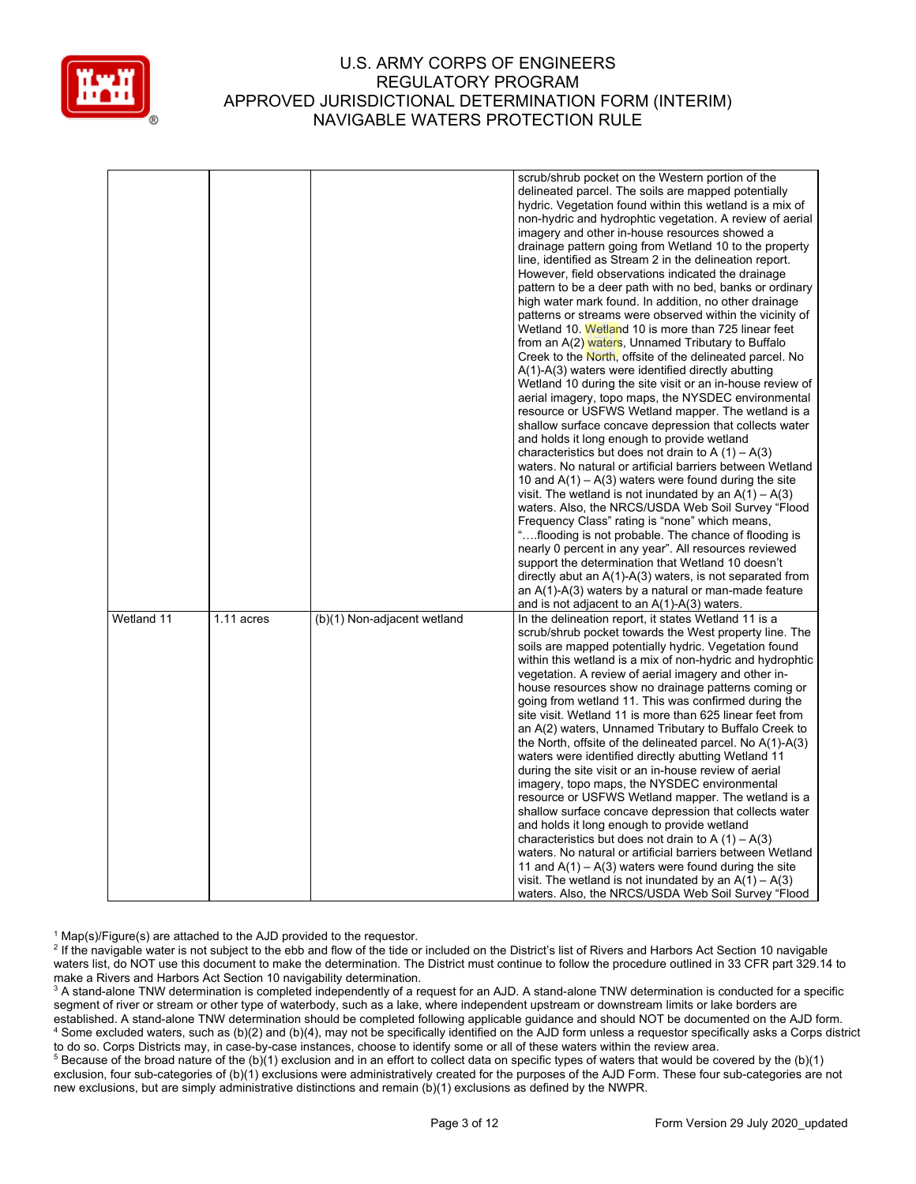

|            |            |                             | scrub/shrub pocket on the Western portion of the            |
|------------|------------|-----------------------------|-------------------------------------------------------------|
|            |            |                             | delineated parcel. The soils are mapped potentially         |
|            |            |                             | hydric. Vegetation found within this wetland is a mix of    |
|            |            |                             | non-hydric and hydrophtic vegetation. A review of aerial    |
|            |            |                             | imagery and other in-house resources showed a               |
|            |            |                             |                                                             |
|            |            |                             | drainage pattern going from Wetland 10 to the property      |
|            |            |                             | line, identified as Stream 2 in the delineation report.     |
|            |            |                             | However, field observations indicated the drainage          |
|            |            |                             | pattern to be a deer path with no bed, banks or ordinary    |
|            |            |                             | high water mark found. In addition, no other drainage       |
|            |            |                             | patterns or streams were observed within the vicinity of    |
|            |            |                             | Wetland 10. Wetland 10 is more than 725 linear feet         |
|            |            |                             | from an A(2) waters, Unnamed Tributary to Buffalo           |
|            |            |                             | Creek to the North, offsite of the delineated parcel. No    |
|            |            |                             | $A(1)-A(3)$ waters were identified directly abutting        |
|            |            |                             | Wetland 10 during the site visit or an in-house review of   |
|            |            |                             | aerial imagery, topo maps, the NYSDEC environmental         |
|            |            |                             | resource or USFWS Wetland mapper. The wetland is a          |
|            |            |                             | shallow surface concave depression that collects water      |
|            |            |                             | and holds it long enough to provide wetland                 |
|            |            |                             | characteristics but does not drain to A $(1) - A(3)$        |
|            |            |                             | waters. No natural or artificial barriers between Wetland   |
|            |            |                             | 10 and $A(1) - A(3)$ waters were found during the site      |
|            |            |                             |                                                             |
|            |            |                             | visit. The wetland is not inundated by an $A(1) - A(3)$     |
|            |            |                             | waters. Also, the NRCS/USDA Web Soil Survey "Flood          |
|            |            |                             | Frequency Class" rating is "none" which means,              |
|            |            |                             | "flooding is not probable. The chance of flooding is        |
|            |            |                             | nearly 0 percent in any year". All resources reviewed       |
|            |            |                             | support the determination that Wetland 10 doesn't           |
|            |            |                             | directly abut an $A(1)-A(3)$ waters, is not separated from  |
|            |            |                             | an $A(1)$ - $A(3)$ waters by a natural or man-made feature  |
|            |            |                             | and is not adjacent to an $A(1)-A(3)$ waters.               |
| Wetland 11 | 1.11 acres | (b)(1) Non-adjacent wetland | In the delineation report, it states Wetland 11 is a        |
|            |            |                             | scrub/shrub pocket towards the West property line. The      |
|            |            |                             | soils are mapped potentially hydric. Vegetation found       |
|            |            |                             | within this wetland is a mix of non-hydric and hydrophtic   |
|            |            |                             | vegetation. A review of aerial imagery and other in-        |
|            |            |                             | house resources show no drainage patterns coming or         |
|            |            |                             | going from wetland 11. This was confirmed during the        |
|            |            |                             | site visit. Wetland 11 is more than 625 linear feet from    |
|            |            |                             | an A(2) waters, Unnamed Tributary to Buffalo Creek to       |
|            |            |                             |                                                             |
|            |            |                             | the North, offsite of the delineated parcel. No $A(1)-A(3)$ |
|            |            |                             | waters were identified directly abutting Wetland 11         |
|            |            |                             | during the site visit or an in-house review of aerial       |
|            |            |                             | imagery, topo maps, the NYSDEC environmental                |
|            |            |                             | resource or USFWS Wetland mapper. The wetland is a          |
|            |            |                             | shallow surface concave depression that collects water      |
|            |            |                             | and holds it long enough to provide wetland                 |
|            |            |                             | characteristics but does not drain to A $(1) - A(3)$        |
|            |            |                             | waters. No natural or artificial barriers between Wetland   |
|            |            |                             | 11 and $A(1) - A(3)$ waters were found during the site      |
|            |            |                             | visit. The wetland is not inundated by an $A(1) - A(3)$     |
|            |            |                             | waters. Also, the NRCS/USDA Web Soil Survey "Flood          |

 $1$  Map(s)/Figure(s) are attached to the AJD provided to the requestor.

<sup>2</sup> If the navigable water is not subject to the ebb and flow of the tide or included on the District's list of Rivers and Harbors Act Section 10 navigable waters list, do NOT use this document to make the determination. The District must continue to follow the procedure outlined in 33 CFR part 329.14 to make a Rivers and Harbors Act Section 10 navigability determination.

<sup>3</sup> A stand-alone TNW determination is completed independently of a request for an AJD. A stand-alone TNW determination is conducted for a specific segment of river or stream or other type of waterbody, such as a lake, where independent upstream or downstream limits or lake borders are established. A stand-alone TNW determination should be completed following applicable guidance and should NOT be documented on the AJD form. <sup>4</sup> Some excluded waters, such as (b)(2) and (b)(4), may not be specifically identified on the AJD form unless a requestor specifically asks a Corps district to do so. Corps Districts may, in case-by-case instances, choose to identify some or all of these waters within the review area.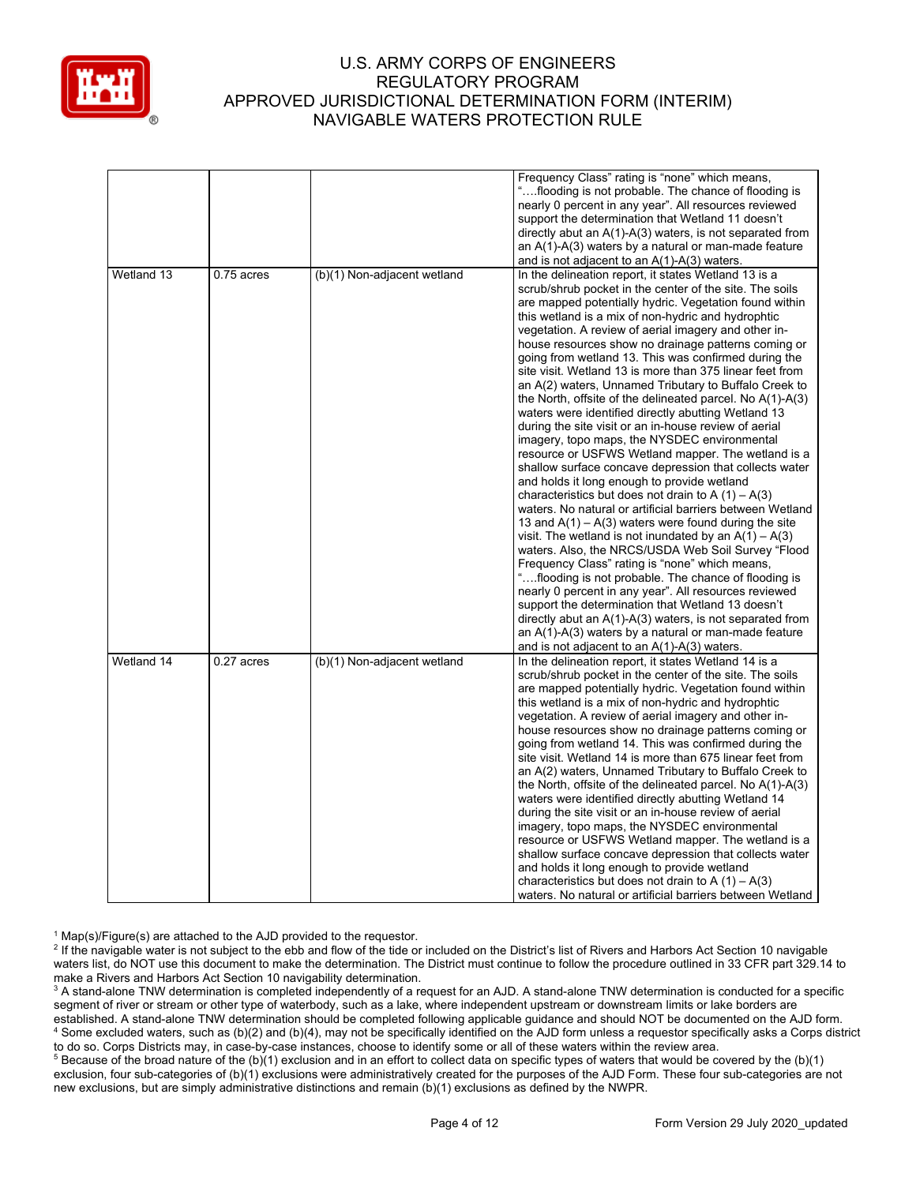

|            |              |                             | Frequency Class" rating is "none" which means,             |
|------------|--------------|-----------------------------|------------------------------------------------------------|
|            |              |                             | "flooding is not probable. The chance of flooding is       |
|            |              |                             | nearly 0 percent in any year". All resources reviewed      |
|            |              |                             | support the determination that Wetland 11 doesn't          |
|            |              |                             | directly abut an $A(1)-A(3)$ waters, is not separated from |
|            |              |                             | an $A(1)$ -A(3) waters by a natural or man-made feature    |
|            |              |                             | and is not adjacent to an $A(1)-A(3)$ waters.              |
|            |              |                             |                                                            |
| Wetland 13 | 0.75 acres   | (b)(1) Non-adjacent wetland | In the delineation report, it states Wetland 13 is a       |
|            |              |                             | scrub/shrub pocket in the center of the site. The soils    |
|            |              |                             | are mapped potentially hydric. Vegetation found within     |
|            |              |                             | this wetland is a mix of non-hydric and hydrophtic         |
|            |              |                             | vegetation. A review of aerial imagery and other in-       |
|            |              |                             | house resources show no drainage patterns coming or        |
|            |              |                             | going from wetland 13. This was confirmed during the       |
|            |              |                             | site visit. Wetland 13 is more than 375 linear feet from   |
|            |              |                             | an A(2) waters, Unnamed Tributary to Buffalo Creek to      |
|            |              |                             | the North, offsite of the delineated parcel. No A(1)-A(3)  |
|            |              |                             | waters were identified directly abutting Wetland 13        |
|            |              |                             | during the site visit or an in-house review of aerial      |
|            |              |                             | imagery, topo maps, the NYSDEC environmental               |
|            |              |                             | resource or USFWS Wetland mapper. The wetland is a         |
|            |              |                             | shallow surface concave depression that collects water     |
|            |              |                             | and holds it long enough to provide wetland                |
|            |              |                             | characteristics but does not drain to A $(1) - A(3)$       |
|            |              |                             | waters. No natural or artificial barriers between Wetland  |
|            |              |                             |                                                            |
|            |              |                             | 13 and $A(1) - A(3)$ waters were found during the site     |
|            |              |                             | visit. The wetland is not inundated by an $A(1) - A(3)$    |
|            |              |                             | waters. Also, the NRCS/USDA Web Soil Survey "Flood         |
|            |              |                             | Frequency Class" rating is "none" which means,             |
|            |              |                             | "flooding is not probable. The chance of flooding is       |
|            |              |                             | nearly 0 percent in any year". All resources reviewed      |
|            |              |                             | support the determination that Wetland 13 doesn't          |
|            |              |                             | directly abut an $A(1)-A(3)$ waters, is not separated from |
|            |              |                             | an $A(1)$ - $A(3)$ waters by a natural or man-made feature |
|            |              |                             | and is not adjacent to an $A(1)-A(3)$ waters.              |
| Wetland 14 | $0.27$ acres | (b)(1) Non-adjacent wetland | In the delineation report, it states Wetland 14 is a       |
|            |              |                             | scrub/shrub pocket in the center of the site. The soils    |
|            |              |                             | are mapped potentially hydric. Vegetation found within     |
|            |              |                             | this wetland is a mix of non-hydric and hydrophtic         |
|            |              |                             | vegetation. A review of aerial imagery and other in-       |
|            |              |                             | house resources show no drainage patterns coming or        |
|            |              |                             | going from wetland 14. This was confirmed during the       |
|            |              |                             | site visit. Wetland 14 is more than 675 linear feet from   |
|            |              |                             | an A(2) waters, Unnamed Tributary to Buffalo Creek to      |
|            |              |                             |                                                            |
|            |              |                             | the North, offsite of the delineated parcel. No A(1)-A(3)  |
|            |              |                             | waters were identified directly abutting Wetland 14        |
|            |              |                             | during the site visit or an in-house review of aerial      |
|            |              |                             | imagery, topo maps, the NYSDEC environmental               |
|            |              |                             | resource or USFWS Wetland mapper. The wetland is a         |
|            |              |                             | shallow surface concave depression that collects water     |
|            |              |                             | and holds it long enough to provide wetland                |
|            |              |                             | characteristics but does not drain to A $(1) - A(3)$       |
|            |              |                             | waters. No natural or artificial barriers between Wetland  |

 $1$  Map(s)/Figure(s) are attached to the AJD provided to the requestor.

<sup>2</sup> If the navigable water is not subject to the ebb and flow of the tide or included on the District's list of Rivers and Harbors Act Section 10 navigable waters list, do NOT use this document to make the determination. The District must continue to follow the procedure outlined in 33 CFR part 329.14 to make a Rivers and Harbors Act Section 10 navigability determination.

<sup>3</sup> A stand-alone TNW determination is completed independently of a request for an AJD. A stand-alone TNW determination is conducted for a specific segment of river or stream or other type of waterbody, such as a lake, where independent upstream or downstream limits or lake borders are established. A stand-alone TNW determination should be completed following applicable guidance and should NOT be documented on the AJD form. <sup>4</sup> Some excluded waters, such as (b)(2) and (b)(4), may not be specifically identified on the AJD form unless a requestor specifically asks a Corps district to do so. Corps Districts may, in case-by-case instances, choose to identify some or all of these waters within the review area.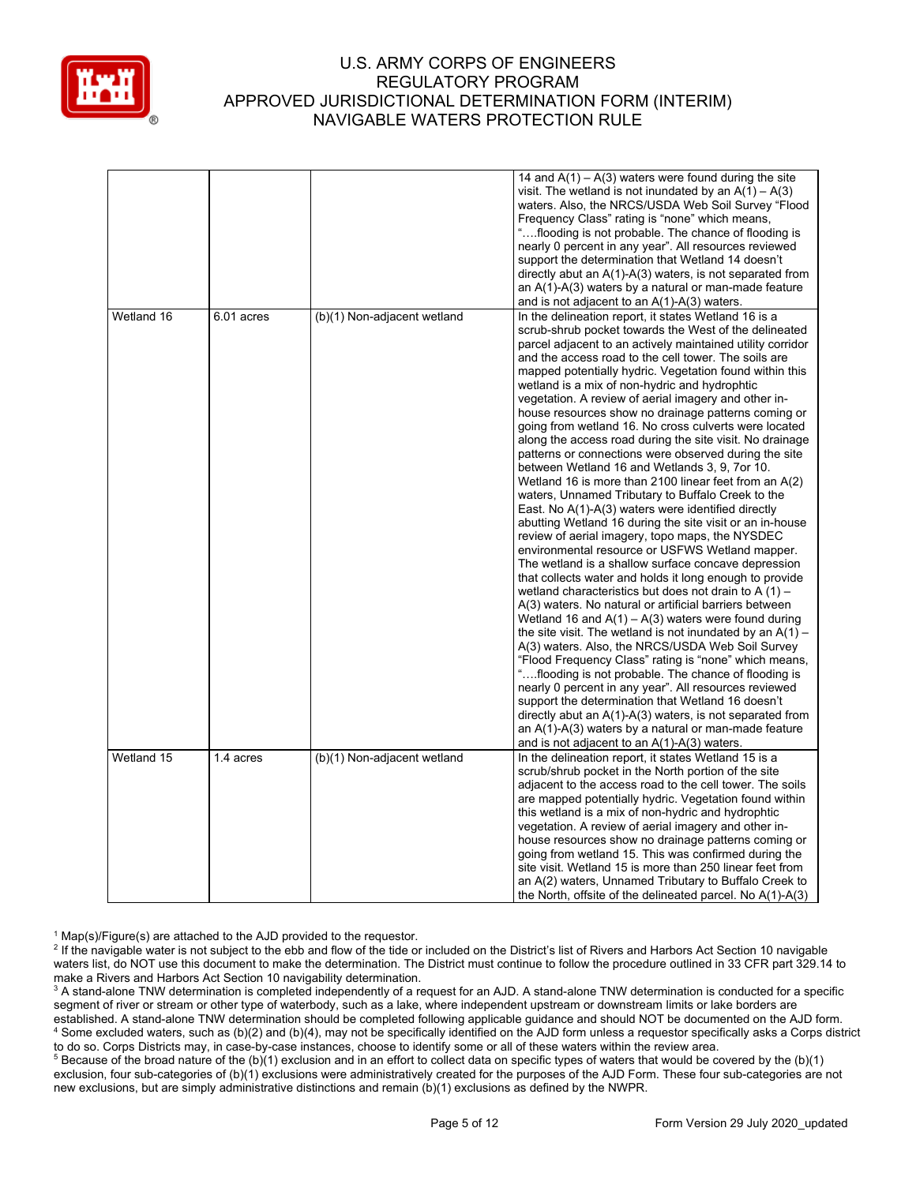

|            |            |                             | 14 and $A(1) - A(3)$ waters were found during the site<br>visit. The wetland is not inundated by an $A(1) - A(3)$<br>waters. Also, the NRCS/USDA Web Soil Survey "Flood<br>Frequency Class" rating is "none" which means,<br>"flooding is not probable. The chance of flooding is<br>nearly 0 percent in any year". All resources reviewed<br>support the determination that Wetland 14 doesn't<br>directly abut an $A(1)-A(3)$ waters, is not separated from<br>an $A(1)$ - $A(3)$ waters by a natural or man-made feature<br>and is not adjacent to an $A(1)-A(3)$ waters.                                                                                                                                                                                                                                                                                                                                                                                                                                                                                                                                                                                                                                                                                                                                                                                                                                                                                                                                                                                                                                                                                                                                                                                                                                                                                         |
|------------|------------|-----------------------------|----------------------------------------------------------------------------------------------------------------------------------------------------------------------------------------------------------------------------------------------------------------------------------------------------------------------------------------------------------------------------------------------------------------------------------------------------------------------------------------------------------------------------------------------------------------------------------------------------------------------------------------------------------------------------------------------------------------------------------------------------------------------------------------------------------------------------------------------------------------------------------------------------------------------------------------------------------------------------------------------------------------------------------------------------------------------------------------------------------------------------------------------------------------------------------------------------------------------------------------------------------------------------------------------------------------------------------------------------------------------------------------------------------------------------------------------------------------------------------------------------------------------------------------------------------------------------------------------------------------------------------------------------------------------------------------------------------------------------------------------------------------------------------------------------------------------------------------------------------------------|
| Wetland 16 | 6.01 acres | (b)(1) Non-adjacent wetland | In the delineation report, it states Wetland 16 is a<br>scrub-shrub pocket towards the West of the delineated<br>parcel adjacent to an actively maintained utility corridor<br>and the access road to the cell tower. The soils are<br>mapped potentially hydric. Vegetation found within this<br>wetland is a mix of non-hydric and hydrophtic<br>vegetation. A review of aerial imagery and other in-<br>house resources show no drainage patterns coming or<br>going from wetland 16. No cross culverts were located<br>along the access road during the site visit. No drainage<br>patterns or connections were observed during the site<br>between Wetland 16 and Wetlands 3, 9, 7or 10.<br>Wetland 16 is more than 2100 linear feet from an A(2)<br>waters, Unnamed Tributary to Buffalo Creek to the<br>East. No $A(1)-A(3)$ waters were identified directly<br>abutting Wetland 16 during the site visit or an in-house<br>review of aerial imagery, topo maps, the NYSDEC<br>environmental resource or USFWS Wetland mapper.<br>The wetland is a shallow surface concave depression<br>that collects water and holds it long enough to provide<br>wetland characteristics but does not drain to A $(1)$ –<br>A(3) waters. No natural or artificial barriers between<br>Wetland 16 and $A(1) - A(3)$ waters were found during<br>the site visit. The wetland is not inundated by an $A(1)$ –<br>A(3) waters. Also, the NRCS/USDA Web Soil Survey<br>"Flood Frequency Class" rating is "none" which means,<br>"flooding is not probable. The chance of flooding is<br>nearly 0 percent in any year". All resources reviewed<br>support the determination that Wetland 16 doesn't<br>directly abut an $A(1)-A(3)$ waters, is not separated from<br>an $A(1)$ - $A(3)$ waters by a natural or man-made feature<br>and is not adjacent to an $A(1)-A(3)$ waters. |
| Wetland 15 | 1.4 acres  | (b)(1) Non-adjacent wetland | In the delineation report, it states Wetland 15 is a<br>scrub/shrub pocket in the North portion of the site<br>adjacent to the access road to the cell tower. The soils<br>are mapped potentially hydric. Vegetation found within<br>this wetland is a mix of non-hydric and hydrophtic<br>vegetation. A review of aerial imagery and other in-<br>house resources show no drainage patterns coming or<br>going from wetland 15. This was confirmed during the<br>site visit. Wetland 15 is more than 250 linear feet from<br>an A(2) waters, Unnamed Tributary to Buffalo Creek to<br>the North, offsite of the delineated parcel. No $A(1)-A(3)$                                                                                                                                                                                                                                                                                                                                                                                                                                                                                                                                                                                                                                                                                                                                                                                                                                                                                                                                                                                                                                                                                                                                                                                                                   |

 $1$  Map(s)/Figure(s) are attached to the AJD provided to the requestor.

<sup>2</sup> If the navigable water is not subject to the ebb and flow of the tide or included on the District's list of Rivers and Harbors Act Section 10 navigable waters list, do NOT use this document to make the determination. The District must continue to follow the procedure outlined in 33 CFR part 329.14 to make a Rivers and Harbors Act Section 10 navigability determination.

<sup>3</sup> A stand-alone TNW determination is completed independently of a request for an AJD. A stand-alone TNW determination is conducted for a specific segment of river or stream or other type of waterbody, such as a lake, where independent upstream or downstream limits or lake borders are established. A stand-alone TNW determination should be completed following applicable guidance and should NOT be documented on the AJD form. <sup>4</sup> Some excluded waters, such as (b)(2) and (b)(4), may not be specifically identified on the AJD form unless a requestor specifically asks a Corps district to do so. Corps Districts may, in case-by-case instances, choose to identify some or all of these waters within the review area.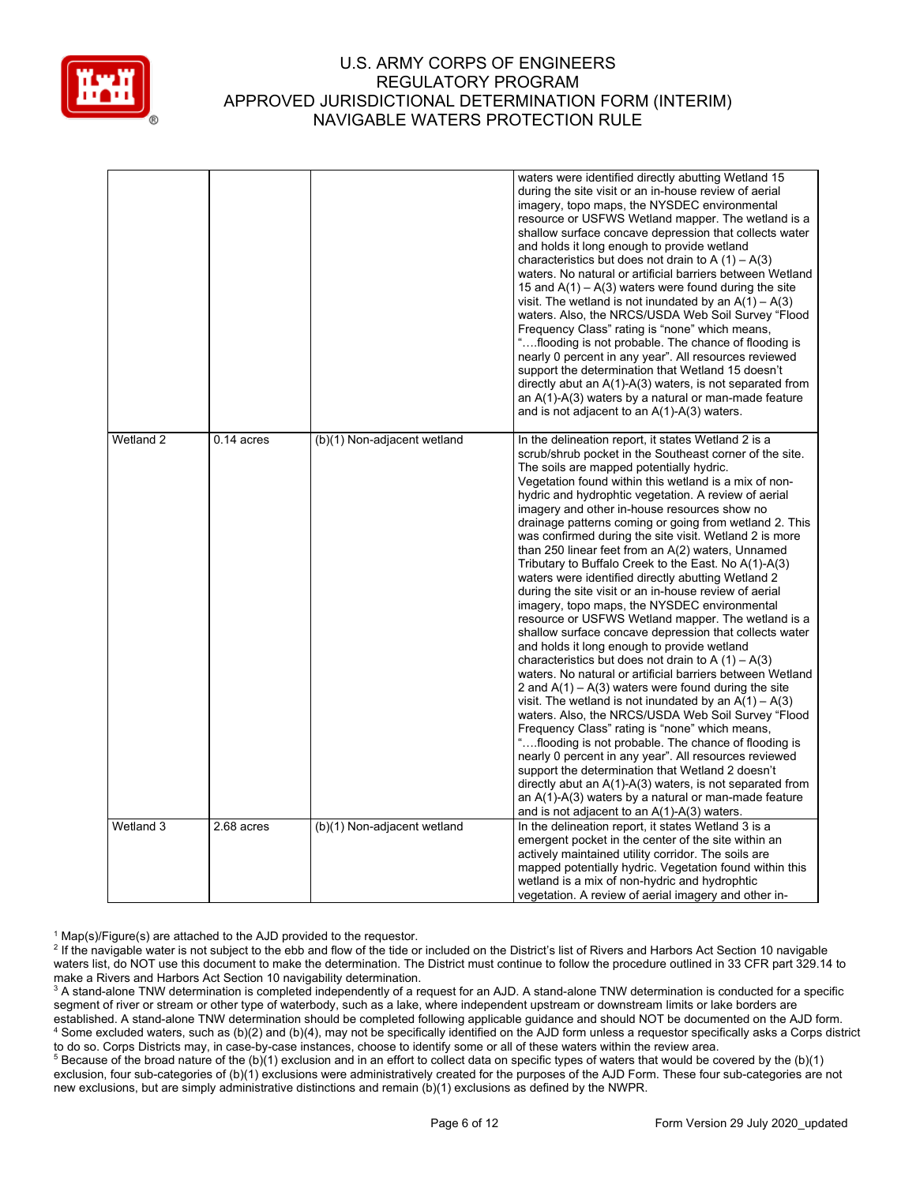

|           |              |                             | waters were identified directly abutting Wetland 15<br>during the site visit or an in-house review of aerial<br>imagery, topo maps, the NYSDEC environmental<br>resource or USFWS Wetland mapper. The wetland is a<br>shallow surface concave depression that collects water<br>and holds it long enough to provide wetland<br>characteristics but does not drain to A $(1) - A(3)$<br>waters. No natural or artificial barriers between Wetland<br>15 and $A(1) - A(3)$ waters were found during the site<br>visit. The wetland is not inundated by an $A(1) - A(3)$<br>waters. Also, the NRCS/USDA Web Soil Survey "Flood<br>Frequency Class" rating is "none" which means,<br>"flooding is not probable. The chance of flooding is<br>nearly 0 percent in any year". All resources reviewed<br>support the determination that Wetland 15 doesn't<br>directly abut an A(1)-A(3) waters, is not separated from<br>an A(1)-A(3) waters by a natural or man-made feature<br>and is not adjacent to an $A(1)-A(3)$ waters.                                                                                                                                                                                                                                                                                                                                                                                                                                                                                                                                                                      |
|-----------|--------------|-----------------------------|-----------------------------------------------------------------------------------------------------------------------------------------------------------------------------------------------------------------------------------------------------------------------------------------------------------------------------------------------------------------------------------------------------------------------------------------------------------------------------------------------------------------------------------------------------------------------------------------------------------------------------------------------------------------------------------------------------------------------------------------------------------------------------------------------------------------------------------------------------------------------------------------------------------------------------------------------------------------------------------------------------------------------------------------------------------------------------------------------------------------------------------------------------------------------------------------------------------------------------------------------------------------------------------------------------------------------------------------------------------------------------------------------------------------------------------------------------------------------------------------------------------------------------------------------------------------------------------------------|
| Wetland 2 | $0.14$ acres | (b)(1) Non-adjacent wetland | In the delineation report, it states Wetland 2 is a<br>scrub/shrub pocket in the Southeast corner of the site.<br>The soils are mapped potentially hydric.<br>Vegetation found within this wetland is a mix of non-<br>hydric and hydrophtic vegetation. A review of aerial<br>imagery and other in-house resources show no<br>drainage patterns coming or going from wetland 2. This<br>was confirmed during the site visit. Wetland 2 is more<br>than 250 linear feet from an A(2) waters, Unnamed<br>Tributary to Buffalo Creek to the East. No A(1)-A(3)<br>waters were identified directly abutting Wetland 2<br>during the site visit or an in-house review of aerial<br>imagery, topo maps, the NYSDEC environmental<br>resource or USFWS Wetland mapper. The wetland is a<br>shallow surface concave depression that collects water<br>and holds it long enough to provide wetland<br>characteristics but does not drain to A $(1) - A(3)$<br>waters. No natural or artificial barriers between Wetland<br>2 and $A(1) - A(3)$ waters were found during the site<br>visit. The wetland is not inundated by an $A(1) - A(3)$<br>waters. Also, the NRCS/USDA Web Soil Survey "Flood<br>Frequency Class" rating is "none" which means,<br>"flooding is not probable. The chance of flooding is<br>nearly 0 percent in any year". All resources reviewed<br>support the determination that Wetland 2 doesn't<br>directly abut an $A(1)-A(3)$ waters, is not separated from<br>an $A(1)$ - $A(3)$ waters by a natural or man-made feature<br>and is not adjacent to an $A(1)-A(3)$ waters. |
| Wetland 3 | 2.68 acres   | (b)(1) Non-adjacent wetland | In the delineation report, it states Wetland 3 is a<br>emergent pocket in the center of the site within an<br>actively maintained utility corridor. The soils are<br>mapped potentially hydric. Vegetation found within this<br>wetland is a mix of non-hydric and hydrophtic<br>vegetation. A review of aerial imagery and other in-                                                                                                                                                                                                                                                                                                                                                                                                                                                                                                                                                                                                                                                                                                                                                                                                                                                                                                                                                                                                                                                                                                                                                                                                                                                         |

 $1$  Map(s)/Figure(s) are attached to the AJD provided to the requestor.

<sup>&</sup>lt;sup>2</sup> If the navigable water is not subject to the ebb and flow of the tide or included on the District's list of Rivers and Harbors Act Section 10 navigable waters list, do NOT use this document to make the determination. The District must continue to follow the procedure outlined in 33 CFR part 329.14 to make a Rivers and Harbors Act Section 10 navigability determination.

<sup>&</sup>lt;sup>3</sup> A stand-alone TNW determination is completed independently of a request for an AJD. A stand-alone TNW determination is conducted for a specific segment of river or stream or other type of waterbody, such as a lake, where independent upstream or downstream limits or lake borders are established. A stand-alone TNW determination should be completed following applicable guidance and should NOT be documented on the AJD form. <sup>4</sup> Some excluded waters, such as (b)(2) and (b)(4), may not be specifically identified on the AJD form unless a requestor specifically asks a Corps district to do so. Corps Districts may, in case-by-case instances, choose to identify some or all of these waters within the review area.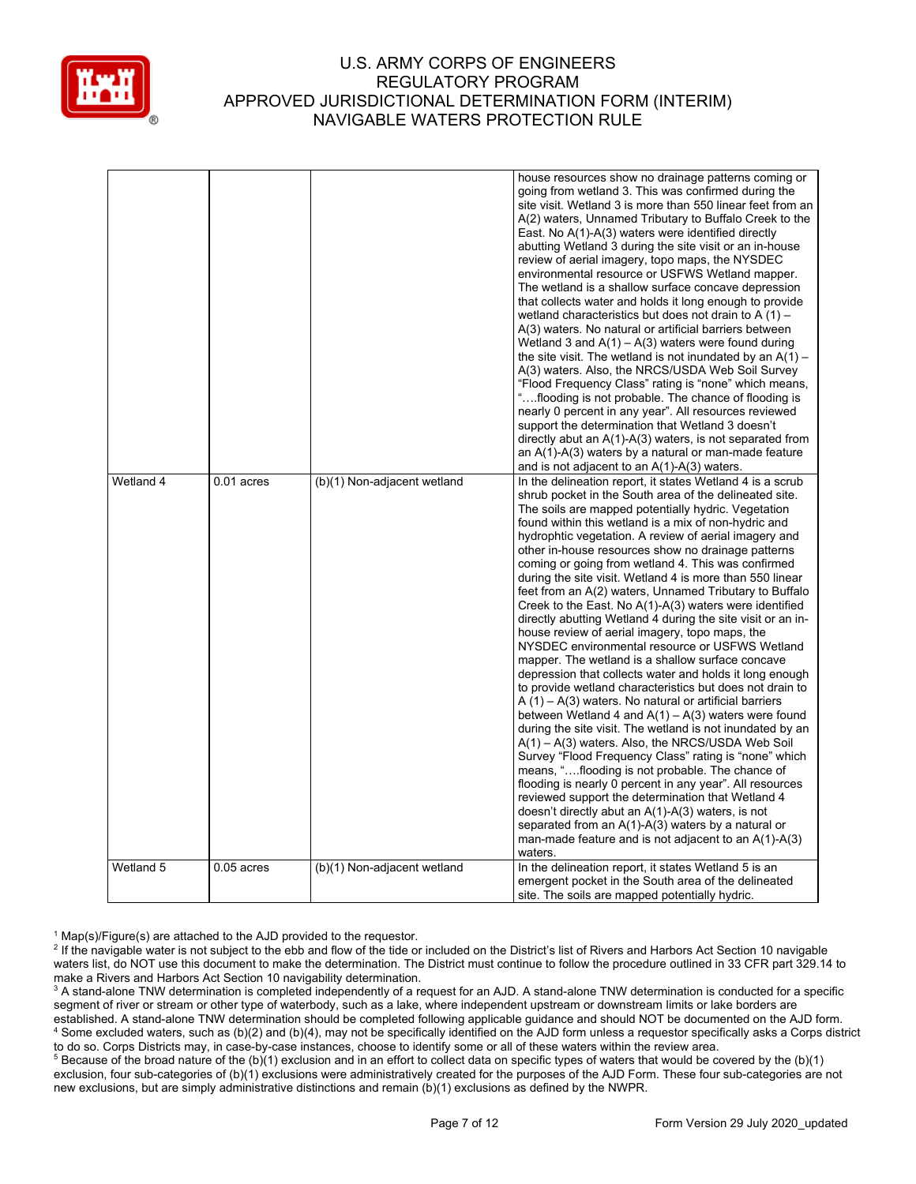

|           |              |                             | house resources show no drainage patterns coming or                                                         |
|-----------|--------------|-----------------------------|-------------------------------------------------------------------------------------------------------------|
|           |              |                             | going from wetland 3. This was confirmed during the                                                         |
|           |              |                             | site visit. Wetland 3 is more than 550 linear feet from an                                                  |
|           |              |                             | A(2) waters, Unnamed Tributary to Buffalo Creek to the                                                      |
|           |              |                             | East. No A(1)-A(3) waters were identified directly                                                          |
|           |              |                             | abutting Wetland 3 during the site visit or an in-house                                                     |
|           |              |                             | review of aerial imagery, topo maps, the NYSDEC                                                             |
|           |              |                             | environmental resource or USFWS Wetland mapper.                                                             |
|           |              |                             | The wetland is a shallow surface concave depression                                                         |
|           |              |                             | that collects water and holds it long enough to provide                                                     |
|           |              |                             | wetland characteristics but does not drain to A $(1)$ –                                                     |
|           |              |                             | A(3) waters. No natural or artificial barriers between                                                      |
|           |              |                             | Wetland 3 and $A(1) - A(3)$ waters were found during                                                        |
|           |              |                             | the site visit. The wetland is not inundated by an $A(1)$ –                                                 |
|           |              |                             | A(3) waters. Also, the NRCS/USDA Web Soil Survey                                                            |
|           |              |                             | "Flood Frequency Class" rating is "none" which means,                                                       |
|           |              |                             | "flooding is not probable. The chance of flooding is                                                        |
|           |              |                             | nearly 0 percent in any year". All resources reviewed                                                       |
|           |              |                             | support the determination that Wetland 3 doesn't                                                            |
|           |              |                             | directly abut an $A(1)-A(3)$ waters, is not separated from                                                  |
|           |              |                             | an A(1)-A(3) waters by a natural or man-made feature                                                        |
|           |              |                             | and is not adjacent to an $A(1)-A(3)$ waters.                                                               |
| Wetland 4 | $0.01$ acres | (b)(1) Non-adjacent wetland | In the delineation report, it states Wetland 4 is a scrub                                                   |
|           |              |                             | shrub pocket in the South area of the delineated site.                                                      |
|           |              |                             | The soils are mapped potentially hydric. Vegetation                                                         |
|           |              |                             | found within this wetland is a mix of non-hydric and                                                        |
|           |              |                             | hydrophtic vegetation. A review of aerial imagery and                                                       |
|           |              |                             | other in-house resources show no drainage patterns                                                          |
|           |              |                             | coming or going from wetland 4. This was confirmed                                                          |
|           |              |                             | during the site visit. Wetland 4 is more than 550 linear                                                    |
|           |              |                             | feet from an A(2) waters, Unnamed Tributary to Buffalo                                                      |
|           |              |                             | Creek to the East. No A(1)-A(3) waters were identified                                                      |
|           |              |                             | directly abutting Wetland 4 during the site visit or an in-                                                 |
|           |              |                             | house review of aerial imagery, topo maps, the                                                              |
|           |              |                             | NYSDEC environmental resource or USFWS Wetland                                                              |
|           |              |                             | mapper. The wetland is a shallow surface concave                                                            |
|           |              |                             | depression that collects water and holds it long enough                                                     |
|           |              |                             | to provide wetland characteristics but does not drain to                                                    |
|           |              |                             |                                                                                                             |
|           |              |                             |                                                                                                             |
|           |              |                             | $A(1) - A(3)$ waters. No natural or artificial barriers                                                     |
|           |              |                             | between Wetland 4 and $A(1) - A(3)$ waters were found                                                       |
|           |              |                             | during the site visit. The wetland is not inundated by an                                                   |
|           |              |                             | A(1) – A(3) waters. Also, the NRCS/USDA Web Soil                                                            |
|           |              |                             | Survey "Flood Frequency Class" rating is "none" which                                                       |
|           |              |                             | means, "flooding is not probable. The chance of                                                             |
|           |              |                             | flooding is nearly 0 percent in any year". All resources                                                    |
|           |              |                             | reviewed support the determination that Wetland 4                                                           |
|           |              |                             | doesn't directly abut an A(1)-A(3) waters, is not                                                           |
|           |              |                             | separated from an $A(1)-A(3)$ waters by a natural or                                                        |
|           |              |                             | man-made feature and is not adjacent to an $A(1)-A(3)$                                                      |
|           |              |                             | waters.                                                                                                     |
| Wetland 5 | $0.05$ acres | (b)(1) Non-adjacent wetland | In the delineation report, it states Wetland 5 is an<br>emergent pocket in the South area of the delineated |

 $1$  Map(s)/Figure(s) are attached to the AJD provided to the requestor.

<sup>&</sup>lt;sup>2</sup> If the navigable water is not subject to the ebb and flow of the tide or included on the District's list of Rivers and Harbors Act Section 10 navigable waters list, do NOT use this document to make the determination. The District must continue to follow the procedure outlined in 33 CFR part 329.14 to make a Rivers and Harbors Act Section 10 navigability determination.

<sup>&</sup>lt;sup>3</sup> A stand-alone TNW determination is completed independently of a request for an AJD. A stand-alone TNW determination is conducted for a specific segment of river or stream or other type of waterbody, such as a lake, where independent upstream or downstream limits or lake borders are established. A stand-alone TNW determination should be completed following applicable guidance and should NOT be documented on the AJD form. <sup>4</sup> Some excluded waters, such as (b)(2) and (b)(4), may not be specifically identified on the AJD form unless a requestor specifically asks a Corps district to do so. Corps Districts may, in case-by-case instances, choose to identify some or all of these waters within the review area.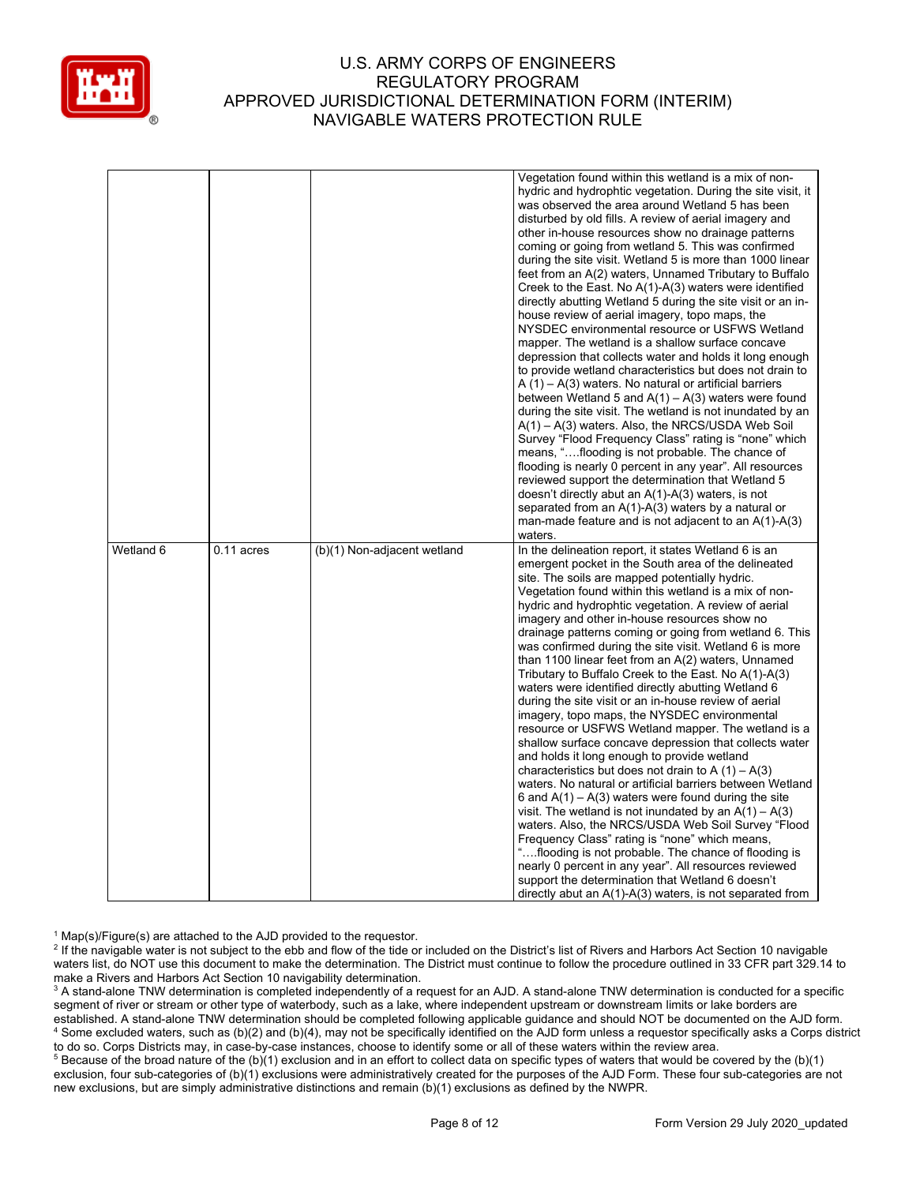

|           |              |                             | Vegetation found within this wetland is a mix of non-       |
|-----------|--------------|-----------------------------|-------------------------------------------------------------|
|           |              |                             | hydric and hydrophtic vegetation. During the site visit, it |
|           |              |                             | was observed the area around Wetland 5 has been             |
|           |              |                             | disturbed by old fills. A review of aerial imagery and      |
|           |              |                             | other in-house resources show no drainage patterns          |
|           |              |                             | coming or going from wetland 5. This was confirmed          |
|           |              |                             | during the site visit. Wetland 5 is more than 1000 linear   |
|           |              |                             | feet from an A(2) waters, Unnamed Tributary to Buffalo      |
|           |              |                             | Creek to the East. No $A(1)-A(3)$ waters were identified    |
|           |              |                             | directly abutting Wetland 5 during the site visit or an in- |
|           |              |                             | house review of aerial imagery, topo maps, the              |
|           |              |                             | NYSDEC environmental resource or USFWS Wetland              |
|           |              |                             | mapper. The wetland is a shallow surface concave            |
|           |              |                             |                                                             |
|           |              |                             | depression that collects water and holds it long enough     |
|           |              |                             | to provide wetland characteristics but does not drain to    |
|           |              |                             | $A(1) - A(3)$ waters. No natural or artificial barriers     |
|           |              |                             | between Wetland 5 and $A(1) - A(3)$ waters were found       |
|           |              |                             | during the site visit. The wetland is not inundated by an   |
|           |              |                             | $A(1) - A(3)$ waters. Also, the NRCS/USDA Web Soil          |
|           |              |                             | Survey "Flood Frequency Class" rating is "none" which       |
|           |              |                             | means, "flooding is not probable. The chance of             |
|           |              |                             | flooding is nearly 0 percent in any year". All resources    |
|           |              |                             | reviewed support the determination that Wetland 5           |
|           |              |                             | doesn't directly abut an $A(1)-A(3)$ waters, is not         |
|           |              |                             | separated from an $A(1)-A(3)$ waters by a natural or        |
|           |              |                             | man-made feature and is not adjacent to an $A(1)-A(3)$      |
|           |              |                             | waters.                                                     |
| Wetland 6 | $0.11$ acres | (b)(1) Non-adjacent wetland | In the delineation report, it states Wetland 6 is an        |
|           |              |                             | emergent pocket in the South area of the delineated         |
|           |              |                             | site. The soils are mapped potentially hydric.              |
|           |              |                             |                                                             |
|           |              |                             | Vegetation found within this wetland is a mix of non-       |
|           |              |                             | hydric and hydrophtic vegetation. A review of aerial        |
|           |              |                             | imagery and other in-house resources show no                |
|           |              |                             | drainage patterns coming or going from wetland 6. This      |
|           |              |                             | was confirmed during the site visit. Wetland 6 is more      |
|           |              |                             | than 1100 linear feet from an A(2) waters, Unnamed          |
|           |              |                             | Tributary to Buffalo Creek to the East. No A(1)-A(3)        |
|           |              |                             | waters were identified directly abutting Wetland 6          |
|           |              |                             | during the site visit or an in-house review of aerial       |
|           |              |                             | imagery, topo maps, the NYSDEC environmental                |
|           |              |                             | resource or USFWS Wetland mapper. The wetland is a          |
|           |              |                             | shallow surface concave depression that collects water      |
|           |              |                             | and holds it long enough to provide wetland                 |
|           |              |                             | characteristics but does not drain to A $(1) - A(3)$        |
|           |              |                             | waters. No natural or artificial barriers between Wetland   |
|           |              |                             | 6 and $A(1) - A(3)$ waters were found during the site       |
|           |              |                             | visit. The wetland is not inundated by an $A(1) - A(3)$     |
|           |              |                             | waters. Also, the NRCS/USDA Web Soil Survey "Flood          |
|           |              |                             | Frequency Class" rating is "none" which means,              |
|           |              |                             | "flooding is not probable. The chance of flooding is        |
|           |              |                             | nearly 0 percent in any year". All resources reviewed       |
|           |              |                             | support the determination that Wetland 6 doesn't            |

 $1$  Map(s)/Figure(s) are attached to the AJD provided to the requestor.

<sup>2</sup> If the navigable water is not subject to the ebb and flow of the tide or included on the District's list of Rivers and Harbors Act Section 10 navigable waters list, do NOT use this document to make the determination. The District must continue to follow the procedure outlined in 33 CFR part 329.14 to make a Rivers and Harbors Act Section 10 navigability determination.

<sup>3</sup> A stand-alone TNW determination is completed independently of a request for an AJD. A stand-alone TNW determination is conducted for a specific segment of river or stream or other type of waterbody, such as a lake, where independent upstream or downstream limits or lake borders are established. A stand-alone TNW determination should be completed following applicable guidance and should NOT be documented on the AJD form. <sup>4</sup> Some excluded waters, such as (b)(2) and (b)(4), may not be specifically identified on the AJD form unless a requestor specifically asks a Corps district to do so. Corps Districts may, in case-by-case instances, choose to identify some or all of these waters within the review area.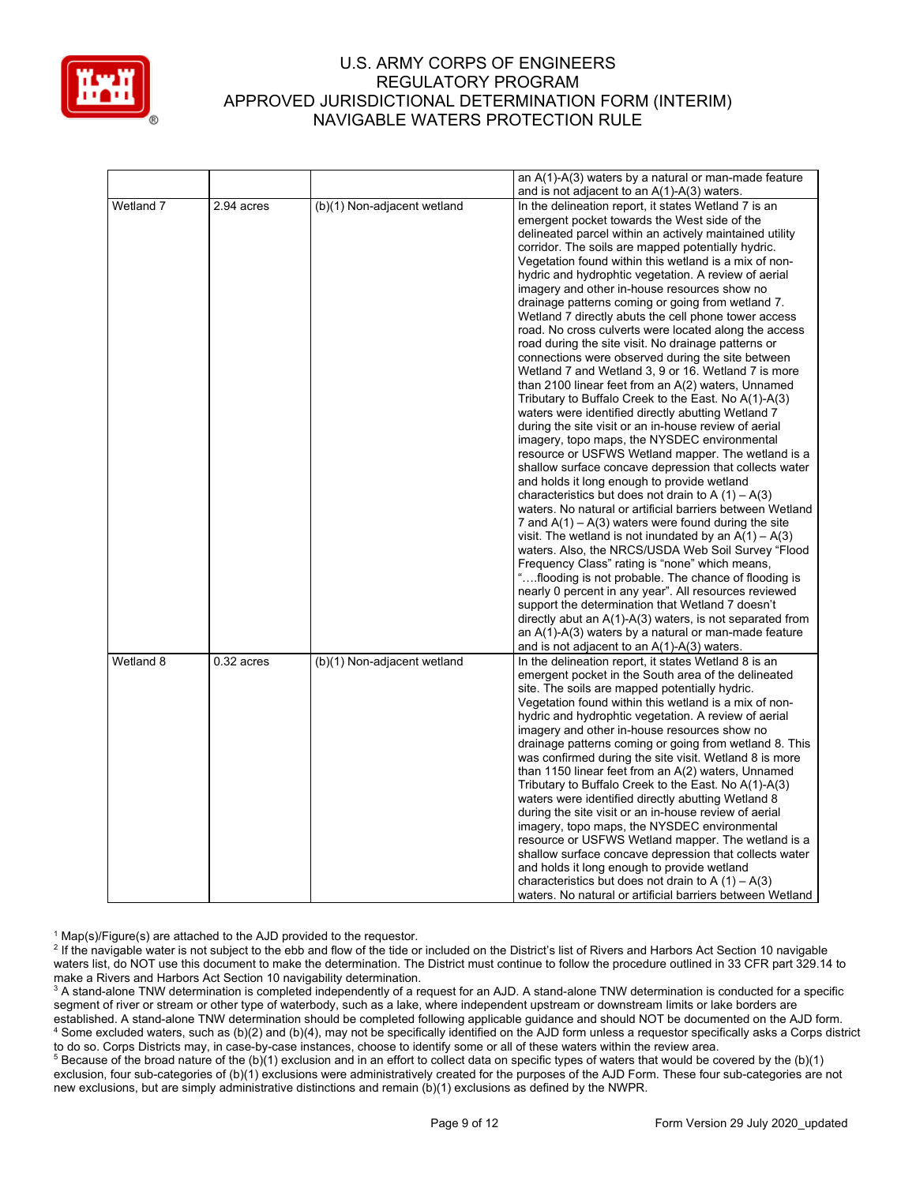

|           |              |                             | an A(1)-A(3) waters by a natural or man-made feature       |
|-----------|--------------|-----------------------------|------------------------------------------------------------|
|           |              |                             | and is not adjacent to an $A(1)-A(3)$ waters.              |
| Wetland 7 | 2.94 acres   | (b)(1) Non-adjacent wetland | In the delineation report, it states Wetland 7 is an       |
|           |              |                             | emergent pocket towards the West side of the               |
|           |              |                             | delineated parcel within an actively maintained utility    |
|           |              |                             | corridor. The soils are mapped potentially hydric.         |
|           |              |                             | Vegetation found within this wetland is a mix of non-      |
|           |              |                             | hydric and hydrophtic vegetation. A review of aerial       |
|           |              |                             | imagery and other in-house resources show no               |
|           |              |                             | drainage patterns coming or going from wetland 7.          |
|           |              |                             | Wetland 7 directly abuts the cell phone tower access       |
|           |              |                             | road. No cross culverts were located along the access      |
|           |              |                             | road during the site visit. No drainage patterns or        |
|           |              |                             | connections were observed during the site between          |
|           |              |                             | Wetland 7 and Wetland 3, 9 or 16. Wetland 7 is more        |
|           |              |                             | than 2100 linear feet from an A(2) waters, Unnamed         |
|           |              |                             | Tributary to Buffalo Creek to the East. No A(1)-A(3)       |
|           |              |                             | waters were identified directly abutting Wetland 7         |
|           |              |                             | during the site visit or an in-house review of aerial      |
|           |              |                             | imagery, topo maps, the NYSDEC environmental               |
|           |              |                             | resource or USFWS Wetland mapper. The wetland is a         |
|           |              |                             | shallow surface concave depression that collects water     |
|           |              |                             | and holds it long enough to provide wetland                |
|           |              |                             | characteristics but does not drain to A $(1) - A(3)$       |
|           |              |                             | waters. No natural or artificial barriers between Wetland  |
|           |              |                             | 7 and $A(1) - A(3)$ waters were found during the site      |
|           |              |                             | visit. The wetland is not inundated by an $A(1) - A(3)$    |
|           |              |                             | waters. Also, the NRCS/USDA Web Soil Survey "Flood         |
|           |              |                             | Frequency Class" rating is "none" which means,             |
|           |              |                             | "flooding is not probable. The chance of flooding is       |
|           |              |                             | nearly 0 percent in any year". All resources reviewed      |
|           |              |                             | support the determination that Wetland 7 doesn't           |
|           |              |                             | directly abut an $A(1)-A(3)$ waters, is not separated from |
|           |              |                             | an $A(1)-A(3)$ waters by a natural or man-made feature     |
|           |              |                             | and is not adjacent to an $A(1)-A(3)$ waters.              |
| Wetland 8 | $0.32$ acres | (b)(1) Non-adjacent wetland | In the delineation report, it states Wetland 8 is an       |
|           |              |                             | emergent pocket in the South area of the delineated        |
|           |              |                             | site. The soils are mapped potentially hydric.             |
|           |              |                             | Vegetation found within this wetland is a mix of non-      |
|           |              |                             | hydric and hydrophtic vegetation. A review of aerial       |
|           |              |                             | imagery and other in-house resources show no               |
|           |              |                             | drainage patterns coming or going from wetland 8. This     |
|           |              |                             | was confirmed during the site visit. Wetland 8 is more     |
|           |              |                             | than 1150 linear feet from an A(2) waters, Unnamed         |
|           |              |                             | Tributary to Buffalo Creek to the East. No A(1)-A(3)       |
|           |              |                             | waters were identified directly abutting Wetland 8         |
|           |              |                             | during the site visit or an in-house review of aerial      |
|           |              |                             | imagery, topo maps, the NYSDEC environmental               |
|           |              |                             | resource or USFWS Wetland mapper. The wetland is a         |
|           |              |                             | shallow surface concave depression that collects water     |
|           |              |                             | and holds it long enough to provide wetland                |
|           |              |                             | characteristics but does not drain to A $(1) - A(3)$       |
|           |              |                             | waters. No natural or artificial barriers between Wetland  |

 $1$  Map(s)/Figure(s) are attached to the AJD provided to the requestor.

<sup>2</sup> If the navigable water is not subject to the ebb and flow of the tide or included on the District's list of Rivers and Harbors Act Section 10 navigable waters list, do NOT use this document to make the determination. The District must continue to follow the procedure outlined in 33 CFR part 329.14 to make a Rivers and Harbors Act Section 10 navigability determination.

<sup>3</sup> A stand-alone TNW determination is completed independently of a request for an AJD. A stand-alone TNW determination is conducted for a specific segment of river or stream or other type of waterbody, such as a lake, where independent upstream or downstream limits or lake borders are established. A stand-alone TNW determination should be completed following applicable guidance and should NOT be documented on the AJD form. <sup>4</sup> Some excluded waters, such as (b)(2) and (b)(4), may not be specifically identified on the AJD form unless a requestor specifically asks a Corps district to do so. Corps Districts may, in case-by-case instances, choose to identify some or all of these waters within the review area.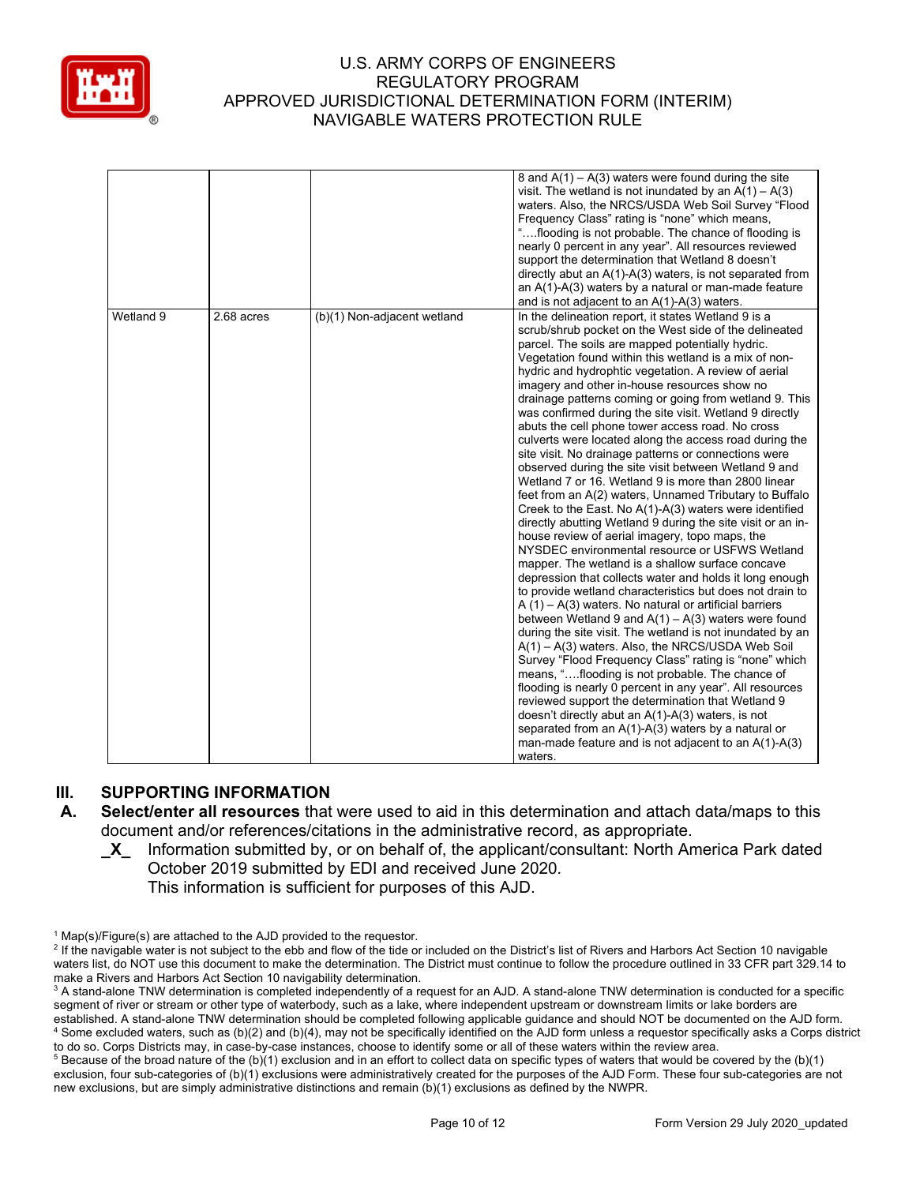

|           |            |                             | 8 and $A(1) - A(3)$ waters were found during the site<br>visit. The wetland is not inundated by an $A(1) - A(3)$<br>waters. Also, the NRCS/USDA Web Soil Survey "Flood<br>Frequency Class" rating is "none" which means,<br>"flooding is not probable. The chance of flooding is<br>nearly 0 percent in any year". All resources reviewed<br>support the determination that Wetland 8 doesn't<br>directly abut an $A(1)-A(3)$ waters, is not separated from<br>an $A(1)$ - $A(3)$ waters by a natural or man-made feature<br>and is not adjacent to an A(1)-A(3) waters.                                                                                                                                                                                                                                                                                                                                                                                                                                                                                                                                                                                                                                                                                                                                                                                                                                                                                                                                                                                                                                                                                                                                                                                                                                                                                            |
|-----------|------------|-----------------------------|---------------------------------------------------------------------------------------------------------------------------------------------------------------------------------------------------------------------------------------------------------------------------------------------------------------------------------------------------------------------------------------------------------------------------------------------------------------------------------------------------------------------------------------------------------------------------------------------------------------------------------------------------------------------------------------------------------------------------------------------------------------------------------------------------------------------------------------------------------------------------------------------------------------------------------------------------------------------------------------------------------------------------------------------------------------------------------------------------------------------------------------------------------------------------------------------------------------------------------------------------------------------------------------------------------------------------------------------------------------------------------------------------------------------------------------------------------------------------------------------------------------------------------------------------------------------------------------------------------------------------------------------------------------------------------------------------------------------------------------------------------------------------------------------------------------------------------------------------------------------|
| Wetland 9 | 2.68 acres | (b)(1) Non-adjacent wetland | In the delineation report, it states Wetland 9 is a<br>scrub/shrub pocket on the West side of the delineated<br>parcel. The soils are mapped potentially hydric.<br>Vegetation found within this wetland is a mix of non-<br>hydric and hydrophtic vegetation. A review of aerial<br>imagery and other in-house resources show no<br>drainage patterns coming or going from wetland 9. This<br>was confirmed during the site visit. Wetland 9 directly<br>abuts the cell phone tower access road. No cross<br>culverts were located along the access road during the<br>site visit. No drainage patterns or connections were<br>observed during the site visit between Wetland 9 and<br>Wetland 7 or 16. Wetland 9 is more than 2800 linear<br>feet from an A(2) waters, Unnamed Tributary to Buffalo<br>Creek to the East. No A(1)-A(3) waters were identified<br>directly abutting Wetland 9 during the site visit or an in-<br>house review of aerial imagery, topo maps, the<br>NYSDEC environmental resource or USFWS Wetland<br>mapper. The wetland is a shallow surface concave<br>depression that collects water and holds it long enough<br>to provide wetland characteristics but does not drain to<br>$A(1) - A(3)$ waters. No natural or artificial barriers<br>between Wetland 9 and $A(1) - A(3)$ waters were found<br>during the site visit. The wetland is not inundated by an<br>$A(1) - A(3)$ waters. Also, the NRCS/USDA Web Soil<br>Survey "Flood Frequency Class" rating is "none" which<br>means, "flooding is not probable. The chance of<br>flooding is nearly 0 percent in any year". All resources<br>reviewed support the determination that Wetland 9<br>doesn't directly abut an A(1)-A(3) waters, is not<br>separated from an $A(1)-A(3)$ waters by a natural or<br>man-made feature and is not adjacent to an $A(1)-A(3)$<br>waters. |

## **III. SUPPORTING INFORMATION**

- **A. Select/enter all resources** that were used to aid in this determination and attach data/maps to this document and/or references/citations in the administrative record, as appropriate.
	- **\_X\_** Information submitted by, or on behalf of, the applicant/consultant: North America Park dated October 2019 submitted by EDI and received June 2020*.*

This information is sufficient for purposes of this AJD.

 $1$  Map(s)/Figure(s) are attached to the AJD provided to the requestor.

<sup>&</sup>lt;sup>2</sup> If the navigable water is not subject to the ebb and flow of the tide or included on the District's list of Rivers and Harbors Act Section 10 navigable waters list, do NOT use this document to make the determination. The District must continue to follow the procedure outlined in 33 CFR part 329.14 to make a Rivers and Harbors Act Section 10 navigability determination.

<sup>&</sup>lt;sup>3</sup> A stand-alone TNW determination is completed independently of a request for an AJD. A stand-alone TNW determination is conducted for a specific segment of river or stream or other type of waterbody, such as a lake, where independent upstream or downstream limits or lake borders are established. A stand-alone TNW determination should be completed following applicable guidance and should NOT be documented on the AJD form. <sup>4</sup> Some excluded waters, such as (b)(2) and (b)(4), may not be specifically identified on the AJD form unless a requestor specifically asks a Corps district to do so. Corps Districts may, in case-by-case instances, choose to identify some or all of these waters within the review area.

 $5$  Because of the broad nature of the (b)(1) exclusion and in an effort to collect data on specific types of waters that would be covered by the (b)(1) exclusion, four sub-categories of (b)(1) exclusions were administratively created for the purposes of the AJD Form. These four sub-categories are not new exclusions, but are simply administrative distinctions and remain (b)(1) exclusions as defined by the NWPR.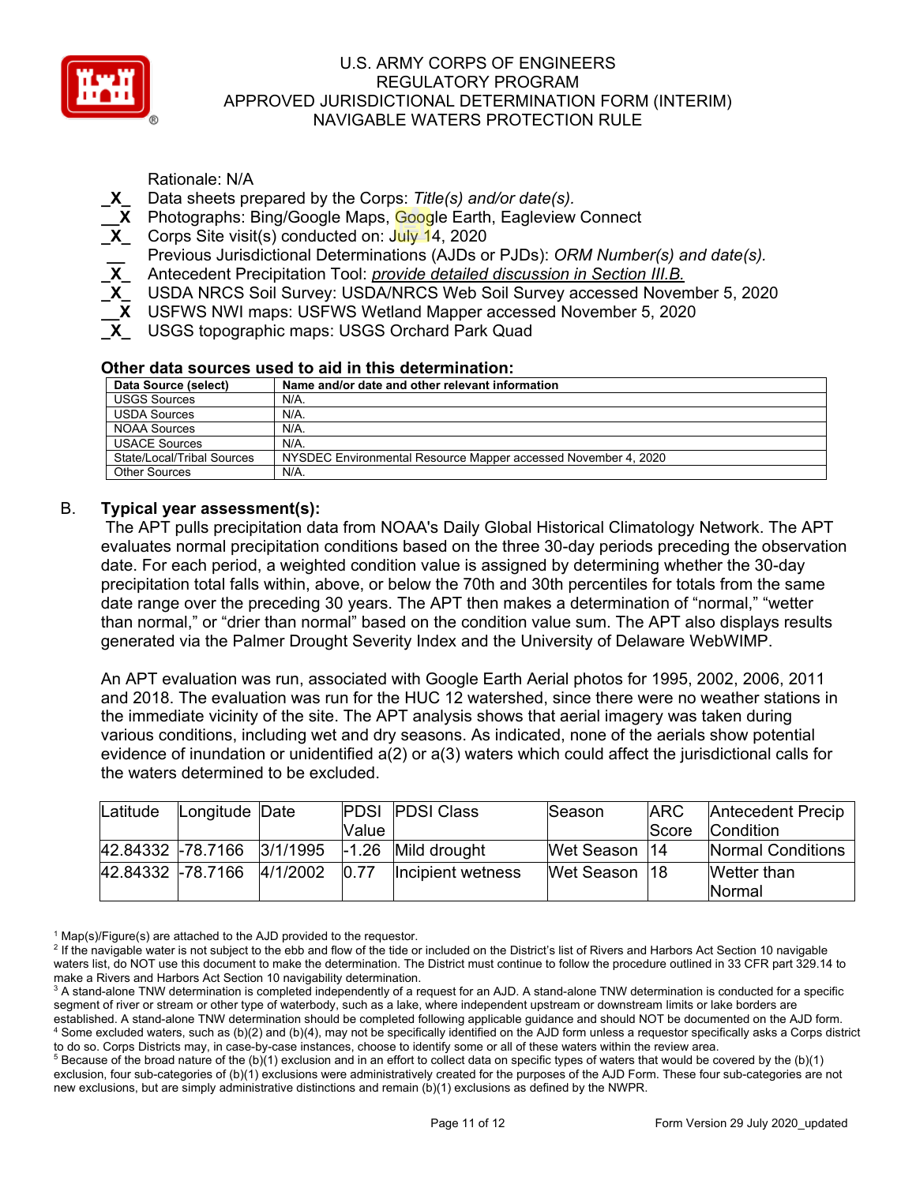

Rationale: N/A

- **\_X\_** Data sheets prepared by the Corps: *Title(s) and/or date(s).*
- **\_\_X** Photographs: Bing/Google Maps, Google Earth, Eagleview Connect
- **\_X\_** Corps Site visit(s) conducted on: July 14, 2020
	- **\_\_** Previous Jurisdictional Determinations (AJDs or PJDs): *ORM Number(s) and date(s).*
- **\_X\_** Antecedent Precipitation Tool: *provide detailed discussion in Section III.B.*
- **\_X\_** USDA NRCS Soil Survey: USDA/NRCS Web Soil Survey accessed November 5, 2020
- **\_\_X** USFWS NWI maps: USFWS Wetland Mapper accessed November 5, 2020
- **\_X\_** USGS topographic maps: USGS Orchard Park Quad

## **Other data sources used to aid in this determination:**

| Data Source (select)       | Name and/or date and other relevant information                |
|----------------------------|----------------------------------------------------------------|
| <b>USGS Sources</b>        | $N/A$ .                                                        |
| <b>USDA Sources</b>        | $N/A$ .                                                        |
| <b>NOAA Sources</b>        | $N/A$ .                                                        |
| <b>USACE Sources</b>       | $N/A$ .                                                        |
| State/Local/Tribal Sources | NYSDEC Environmental Resource Mapper accessed November 4, 2020 |
| <b>Other Sources</b>       | N/A.                                                           |

## B. **Typical year assessment(s):**

The APT pulls precipitation data from NOAA's Daily Global Historical Climatology Network. The APT evaluates normal precipitation conditions based on the three 30-day periods preceding the observation date. For each period, a weighted condition value is assigned by determining whether the 30-day precipitation total falls within, above, or below the 70th and 30th percentiles for totals from the same date range over the preceding 30 years. The APT then makes a determination of "normal," "wetter than normal," or "drier than normal" based on the condition value sum. The APT also displays results generated via the Palmer Drought Severity Index and the University of Delaware WebWIMP.

An APT evaluation was run, associated with Google Earth Aerial photos for 1995, 2002, 2006, 2011 and 2018. The evaluation was run for the HUC 12 watershed, since there were no weather stations in the immediate vicinity of the site. The APT analysis shows that aerial imagery was taken during various conditions, including wet and dry seasons. As indicated, none of the aerials show potential evidence of inundation or unidentified a(2) or a(3) waters which could affect the jurisdictional calls for the waters determined to be excluded.

| Latitude | Longitude Date             |       | <b>PDSI PDSI Class</b> | Season          | <b>ARC</b>   | <b>Antecedent Precip</b> |
|----------|----------------------------|-------|------------------------|-----------------|--------------|--------------------------|
|          |                            | Value |                        |                 | <b>Score</b> | <b>Condition</b>         |
|          | 42.84332 -78.7166 3/1/1995 |       | $-1.26$ Mild drought   | Wet Season  14  |              | Normal Conditions        |
|          | 42.84332 -78.7166 4/1/2002 | 0.77  | Incipient wetness      | Wet Season   18 |              | Wetter than              |
|          |                            |       |                        |                 |              | <b>INormal</b>           |

 $1$  Map(s)/Figure(s) are attached to the AJD provided to the requestor.

<sup>&</sup>lt;sup>2</sup> If the navigable water is not subject to the ebb and flow of the tide or included on the District's list of Rivers and Harbors Act Section 10 navigable waters list, do NOT use this document to make the determination. The District must continue to follow the procedure outlined in 33 CFR part 329.14 to make a Rivers and Harbors Act Section 10 navigability determination.

<sup>&</sup>lt;sup>3</sup> A stand-alone TNW determination is completed independently of a request for an AJD. A stand-alone TNW determination is conducted for a specific segment of river or stream or other type of waterbody, such as a lake, where independent upstream or downstream limits or lake borders are established. A stand-alone TNW determination should be completed following applicable guidance and should NOT be documented on the AJD form. <sup>4</sup> Some excluded waters, such as (b)(2) and (b)(4), may not be specifically identified on the AJD form unless a requestor specifically asks a Corps district to do so. Corps Districts may, in case-by-case instances, choose to identify some or all of these waters within the review area.

 $5$  Because of the broad nature of the (b)(1) exclusion and in an effort to collect data on specific types of waters that would be covered by the (b)(1) exclusion, four sub-categories of (b)(1) exclusions were administratively created for the purposes of the AJD Form. These four sub-categories are not new exclusions, but are simply administrative distinctions and remain (b)(1) exclusions as defined by the NWPR.